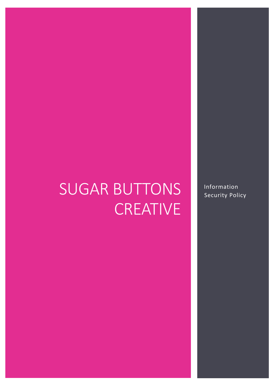# SUGAR BUTTONS **CREATIVE**

Data Protection Policy Lent 2017 0

Information Security Policy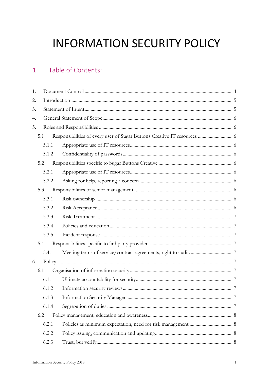# **INFORMATION SECURITY POLICY**

#### Table of Contents:  $\mathbf{1}$

| 1. |       |                                                                          |  |
|----|-------|--------------------------------------------------------------------------|--|
| 2. |       |                                                                          |  |
| 3. |       |                                                                          |  |
| 4. |       |                                                                          |  |
| 5. |       |                                                                          |  |
|    | 5.1   | Responsibilities of every user of Sugar Buttons Creative IT resources  6 |  |
|    | 5.1.1 |                                                                          |  |
|    | 5.1.2 |                                                                          |  |
|    | 5.2   |                                                                          |  |
|    | 5.2.1 |                                                                          |  |
|    | 5.2.2 |                                                                          |  |
|    | 5.3   |                                                                          |  |
|    | 5.3.1 |                                                                          |  |
|    | 5.3.2 |                                                                          |  |
|    | 5.3.3 |                                                                          |  |
|    | 5.3.4 |                                                                          |  |
|    | 5.3.5 |                                                                          |  |
|    | 5.4   |                                                                          |  |
|    | 5.4.1 |                                                                          |  |
| 6. |       |                                                                          |  |
|    | 6.1   |                                                                          |  |
|    | 6.1.1 |                                                                          |  |
|    | 6.1.2 |                                                                          |  |
|    | 6.1.3 |                                                                          |  |
|    | 6.1.4 |                                                                          |  |
|    | 6.2   |                                                                          |  |
|    | 6.2.1 |                                                                          |  |
|    | 6.2.2 |                                                                          |  |
|    | 6.2.3 |                                                                          |  |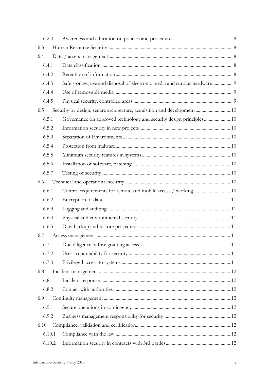|      | 6.2.4  |                                                                           |  |
|------|--------|---------------------------------------------------------------------------|--|
| 6.3  |        |                                                                           |  |
| 6.4  |        |                                                                           |  |
|      | 6.4.1  |                                                                           |  |
|      | 6.4.2  |                                                                           |  |
|      | 6.4.3  | Safe storage, use and disposal of electronic media and surplus hardware 9 |  |
|      | 6.4.4  |                                                                           |  |
|      | 6.4.5  |                                                                           |  |
| 6.5  |        | Security by design, secure architecture, acquisition and development  10  |  |
|      | 6.5.1  | Governance on approved technology and security design principles 10       |  |
|      | 6.5.2  |                                                                           |  |
|      | 6.5.3  |                                                                           |  |
|      | 6.5.4  |                                                                           |  |
|      | 6.5.5  |                                                                           |  |
|      | 6.5.6  |                                                                           |  |
|      | 6.5.7  |                                                                           |  |
| 6.6  |        |                                                                           |  |
|      | 6.6.1  |                                                                           |  |
|      | 6.6.2  |                                                                           |  |
|      | 6.6.3  |                                                                           |  |
|      | 6.6.4  |                                                                           |  |
|      | 6.6.5  |                                                                           |  |
| 6.7  |        |                                                                           |  |
|      | 6.7.1  |                                                                           |  |
|      | 6.7.2  |                                                                           |  |
|      | 6.7.3  |                                                                           |  |
| 6.8  |        |                                                                           |  |
|      | 6.8.1  |                                                                           |  |
|      | 6.8.2  |                                                                           |  |
| 6.9  |        |                                                                           |  |
|      | 6.9.1  |                                                                           |  |
|      | 6.9.2  |                                                                           |  |
| 6.10 |        |                                                                           |  |
|      | 6.10.1 |                                                                           |  |
|      | 6.10.2 |                                                                           |  |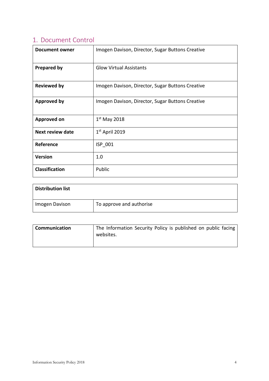# <span id="page-4-0"></span>1. Document Control

| <b>Document owner</b>   | Imogen Davison, Director, Sugar Buttons Creative |
|-------------------------|--------------------------------------------------|
| <b>Prepared by</b>      | <b>Glow Virtual Assistants</b>                   |
| <b>Reviewed by</b>      | Imogen Davison, Director, Sugar Buttons Creative |
| <b>Approved by</b>      | Imogen Davison, Director, Sugar Buttons Creative |
| <b>Approved on</b>      | $1st$ May 2018                                   |
| <b>Next review date</b> | $1st$ April 2019                                 |
| Reference               | ISP 001                                          |
| <b>Version</b>          | 1.0                                              |
| <b>Classification</b>   | Public                                           |

| <b>Distribution list</b> |                          |
|--------------------------|--------------------------|
| Imogen Davison           | To approve and authorise |

| <b>Communication</b> | The Information Security Policy is published on public facing<br>websites. |
|----------------------|----------------------------------------------------------------------------|
|                      |                                                                            |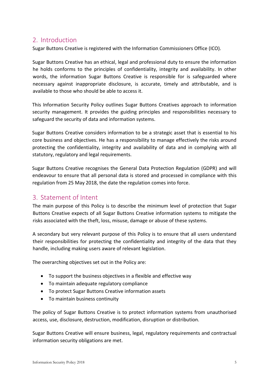# <span id="page-5-0"></span>2. Introduction

Sugar Buttons Creative is registered with the Information Commissioners Office (ICO).

Sugar Buttons Creative has an ethical, legal and professional duty to ensure the information he holds conforms to the principles of confidentiality, integrity and availability. In other words, the information Sugar Buttons Creative is responsible for is safeguarded where necessary against inappropriate disclosure, is accurate, timely and attributable, and is available to those who should be able to access it.

This Information Security Policy outlines Sugar Buttons Creatives approach to information security management. It provides the guiding principles and responsibilities necessary to safeguard the security of data and information systems.

Sugar Buttons Creative considers information to be a strategic asset that is essential to his core business and objectives. He has a responsibility to manage effectively the risks around protecting the confidentiality, integrity and availability of data and in complying with all statutory, regulatory and legal requirements.

Sugar Buttons Creative recognises the General Data Protection Regulation (GDPR) and will endeavour to ensure that all personal data is stored and processed in compliance with this regulation from 25 May 2018, the date the regulation comes into force.

# <span id="page-5-1"></span>3. Statement of Intent

The main purpose of this Policy is to describe the minimum level of protection that Sugar Buttons Creative expects of all Sugar Buttons Creative information systems to mitigate the risks associated with the theft, loss, misuse, damage or abuse of these systems.

A secondary but very relevant purpose of this Policy is to ensure that all users understand their responsibilities for protecting the confidentiality and integrity of the data that they handle, including making users aware of relevant legislation.

The overarching objectives set out in the Policy are:

- To support the business objectives in a flexible and effective way
- To maintain adequate regulatory compliance
- To protect Sugar Buttons Creative information assets
- To maintain business continuity

The policy of Sugar Buttons Creative is to protect information systems from unauthorised access, use, disclosure, destruction, modification, disruption or distribution.

Sugar Buttons Creative will ensure business, legal, regulatory requirements and contractual information security obligations are met.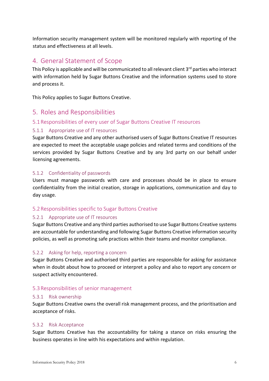Information security management system will be monitored regularly with reporting of the status and effectiveness at all levels.

## <span id="page-6-0"></span>4. General Statement of Scope

This Policy is applicable and will be communicated to all relevant client 3<sup>rd</sup> parties who interact with information held by Sugar Buttons Creative and the information systems used to store and process it.

This Policy applies to Sugar Buttons Creative.

## <span id="page-6-1"></span>5. Roles and Responsibilities

#### <span id="page-6-2"></span>5.1Responsibilities of every user of Sugar Buttons Creative IT resources

#### <span id="page-6-3"></span>5.1.1 Appropriate use of IT resources

Sugar Buttons Creative and any other authorised users of Sugar Buttons Creative IT resources are expected to meet the acceptable usage policies and related terms and conditions of the services provided by Sugar Buttons Creative and by any 3rd party on our behalf under licensing agreements.

#### <span id="page-6-4"></span>5.1.2 Confidentiality of passwords

Users must manage passwords with care and processes should be in place to ensure confidentiality from the initial creation, storage in applications, communication and day to day usage.

#### <span id="page-6-5"></span>5.2Responsibilities specific to Sugar Buttons Creative

#### <span id="page-6-6"></span>5.2.1 Appropriate use of IT resources

Sugar Buttons Creative and any third parties authorised to use Sugar Buttons Creative systems are accountable for understanding and following Sugar Buttons Creative information security policies, as well as promoting safe practices within their teams and monitor compliance.

#### <span id="page-6-7"></span>5.2.2 Asking for help, reporting a concern

Sugar Buttons Creative and authorised third parties are responsible for asking for assistance when in doubt about how to proceed or interpret a policy and also to report any concern or suspect activity encountered.

#### <span id="page-6-8"></span>5.3Responsibilities of senior management

#### <span id="page-6-9"></span>5.3.1 Risk ownership

Sugar Buttons Creative owns the overall risk management process, and the prioritisation and acceptance of risks.

#### <span id="page-6-10"></span>5.3.2 Risk Acceptance

Sugar Buttons Creative has the accountability for taking a stance on risks ensuring the business operates in line with his expectations and within regulation.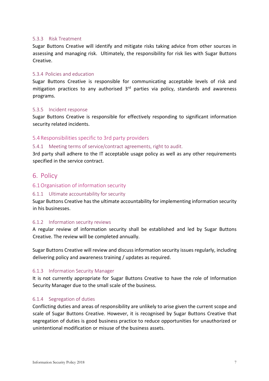#### <span id="page-7-0"></span>5.3.3 Risk Treatment

Sugar Buttons Creative will identify and mitigate risks taking advice from other sources in assessing and managing risk. Ultimately, the responsibility for risk lies with Sugar Buttons Creative.

#### <span id="page-7-1"></span>5.3.4 Policies and education

Sugar Buttons Creative is responsible for communicating acceptable levels of risk and mitigation practices to any authorised 3rd parties via policy, standards and awareness programs.

#### <span id="page-7-2"></span>5.3.5 Incident response

Sugar Buttons Creative is responsible for effectively responding to significant information security related incidents.

#### <span id="page-7-3"></span>5.4Responsibilities specific to 3rd party providers

#### <span id="page-7-4"></span>5.4.1 Meeting terms of service/contract agreements, right to audit.

3rd party shall adhere to the IT acceptable usage policy as well as any other requirements specified in the service contract.

#### <span id="page-7-5"></span>6. Policy

#### <span id="page-7-6"></span>6.1Organisation of information security

#### <span id="page-7-7"></span>6.1.1 Ultimate accountability for security

Sugar Buttons Creative has the ultimate accountability for implementing information security in his businesses.

#### <span id="page-7-8"></span>6.1.2 Information security reviews

A regular review of information security shall be established and led by Sugar Buttons Creative. The review will be completed annually.

Sugar Buttons Creative will review and discuss information security issues regularly, including delivering policy and awareness training / updates as required.

#### <span id="page-7-9"></span>6.1.3 Information Security Manager

It is not currently appropriate for Sugar Buttons Creative to have the role of Information Security Manager due to the small scale of the business.

#### <span id="page-7-10"></span>6.1.4 Segregation of duties

Conflicting duties and areas of responsibility are unlikely to arise given the current scope and scale of Sugar Buttons Creative. However, it is recognised by Sugar Buttons Creative that segregation of duties is good business practice to reduce opportunities for unauthorized or unintentional modification or misuse of the business assets.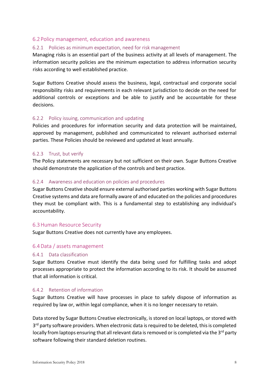#### <span id="page-8-0"></span>6.2 Policy management, education and awareness

#### <span id="page-8-1"></span>6.2.1 Policies as minimum expectation, need for risk management

Managing risks is an essential part of the business activity at all levels of management. The information security policies are the minimum expectation to address information security risks according to well established practice.

Sugar Buttons Creative should assess the business, legal, contractual and corporate social responsibility risks and requirements in each relevant jurisdiction to decide on the need for additional controls or exceptions and be able to justify and be accountable for these decisions.

#### <span id="page-8-2"></span>6.2.2 Policy issuing, communication and updating

Policies and procedures for information security and data protection will be maintained, approved by management, published and communicated to relevant authorised external parties. These Policies should be reviewed and updated at least annually.

#### <span id="page-8-3"></span>6.2.3 Trust, but verify

The Policy statements are necessary but not sufficient on their own. Sugar Buttons Creative should demonstrate the application of the controls and best practice.

#### <span id="page-8-4"></span>6.2.4 Awareness and education on policies and procedures

Sugar Buttons Creative should ensure external authorised parties working with Sugar Buttons Creative systems and data are formally aware of and educated on the policies and procedures they must be compliant with. This is a fundamental step to establishing any individual's accountability.

#### <span id="page-8-5"></span>6.3Human Resource Security

Sugar Buttons Creative does not currently have any employees.

#### <span id="page-8-6"></span>6.4Data / assets management

#### <span id="page-8-7"></span>6.4.1 Data classification

Sugar Buttons Creative must identify the data being used for fulfilling tasks and adopt processes appropriate to protect the information according to its risk. It should be assumed that all information is critical.

#### <span id="page-8-8"></span>6.4.2 Retention of information

Sugar Buttons Creative will have processes in place to safely dispose of information as required by law or, within legal compliance, when it is no longer necessary to retain.

Data stored by Sugar Buttons Creative electronically, is stored on local laptops, or stored with 3<sup>rd</sup> party software providers. When electronic data is required to be deleted, this is completed locally from laptops ensuring that all relevant data is removed or is completed via the  $3^{rd}$  party software following their standard deletion routines.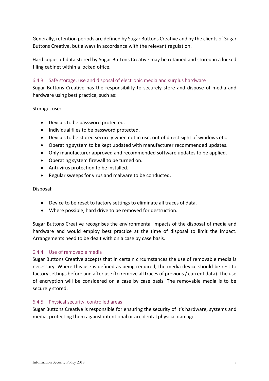Generally, retention periods are defined by Sugar Buttons Creative and by the clients of Sugar Buttons Creative, but always in accordance with the relevant regulation.

Hard copies of data stored by Sugar Buttons Creative may be retained and stored in a locked filing cabinet within a locked office.

#### <span id="page-9-0"></span>6.4.3 Safe storage, use and disposal of electronic media and surplus hardware

Sugar Buttons Creative has the responsibility to securely store and dispose of media and hardware using best practice, such as:

Storage, use:

- Devices to be password protected.
- Individual files to be password protected.
- Devices to be stored securely when not in use, out of direct sight of windows etc.
- Operating system to be kept updated with manufacturer recommended updates.
- Only manufacturer approved and recommended software updates to be applied.
- Operating system firewall to be turned on.
- Anti-virus protection to be installed.
- Regular sweeps for virus and malware to be conducted.

Disposal:

- Device to be reset to factory settings to eliminate all traces of data.
- Where possible, hard drive to be removed for destruction.

Sugar Buttons Creative recognises the environmental impacts of the disposal of media and hardware and would employ best practice at the time of disposal to limit the impact. Arrangements need to be dealt with on a case by case basis.

#### <span id="page-9-1"></span>6.4.4 Use of removable media

Sugar Buttons Creative accepts that in certain circumstances the use of removable media is necessary. Where this use is defined as being required, the media device should be rest to factory settings before and after use (to remove all traces of previous / current data). The use of encryption will be considered on a case by case basis. The removable media is to be securely stored.

#### <span id="page-9-2"></span>6.4.5 Physical security, controlled areas

Sugar Buttons Creative is responsible for ensuring the security of it's hardware, systems and media, protecting them against intentional or accidental physical damage.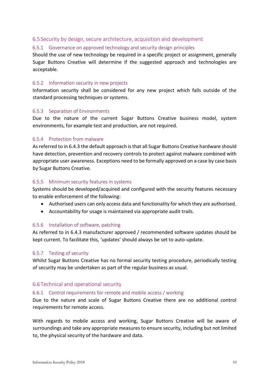#### <span id="page-10-0"></span>6.5 Security by design, secure architecture, acquisition and development

#### <span id="page-10-1"></span>6.5.1 Governance on approved technology and security design principles

Should the use of new technology be required in a specific project or assignment, generally Sugar Buttons Creative will determine if the suggested approach and technologies are acceptable.

#### <span id="page-10-2"></span>6.5.2 Information security in new projects

Information security shall be considered for any new project which falls outside of the standard processing techniques or systems.

#### <span id="page-10-3"></span>6.5.3 Separation of Environments

Due to the nature of the current Sugar Buttons Creative business model, system environments, for example test and production, are not required.

#### <span id="page-10-4"></span>6.5.4 Protection from malware

As referred to in 6.4.3 the default approach is that all Sugar Buttons Creative hardware should have detection, prevention and recovery controls to protect against malware combined with appropriate user awareness. Exceptions need to be formally approved on a case by case basis by Sugar Buttons Creative.

#### <span id="page-10-5"></span>6.5.5 Minimum security features in systems

Systems should be developed/acquired and configured with the security features necessary to enable enforcement of the following:

- Authorised users can only access data and functionality for which they are authorised.
- Accountability for usage is maintained via appropriate audit trails.

#### <span id="page-10-6"></span>6.5.6 Installation of software, patching

As referred to in 6.4.3 manufacturer approved / recommended software updates should be kept current. To facilitate this, 'updates' should always be set to auto-update.

#### <span id="page-10-7"></span>6.5.7 Testing of security

Whilst Sugar Buttons Creative has no formal security testing procedure, periodically testing of security may be undertaken as part of the regular business as usual.

#### <span id="page-10-8"></span>6.6 Technical and operational security

#### <span id="page-10-9"></span>6.6.1 Control requirements for remote and mobile access / working

Due to the nature and scale of Sugar Buttons Creative there are no additional control requirements for remote access.

With regards to mobile access and working, Sugar Buttons Creative will be aware of surroundings and take any appropriate measures to ensure security, including but not limited to, the physical security of the hardware and data.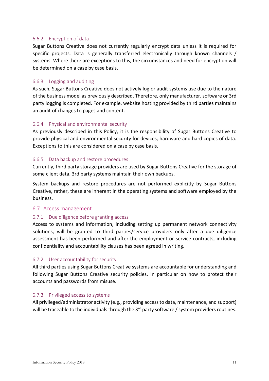#### <span id="page-11-0"></span>6.6.2 Encryption of data

Sugar Buttons Creative does not currently regularly encrypt data unless it is required for specific projects. Data is generally transferred electronically through known channels / systems. Where there are exceptions to this, the circumstances and need for encryption will be determined on a case by case basis.

#### <span id="page-11-1"></span>6.6.3 Logging and auditing

As such, Sugar Buttons Creative does not actively log or audit systems use due to the nature of the business model as previously described. Therefore, only manufacturer, software or 3rd party logging is completed. For example, website hosting provided by third parties maintains an audit of changes to pages and content.

#### <span id="page-11-2"></span>6.6.4 Physical and environmental security

As previously described in this Policy, it is the responsibility of Sugar Buttons Creative to provide physical and environmental security for devices, hardware and hard copies of data. Exceptions to this are considered on a case by case basis.

#### <span id="page-11-3"></span>6.6.5 Data backup and restore procedures

Currently, third party storage providers are used by Sugar Buttons Creative for the storage of some client data. 3rd party systems maintain their own backups.

System backups and restore procedures are not performed explicitly by Sugar Buttons Creative, rather, these are inherent in the operating systems and software employed by the business.

#### <span id="page-11-4"></span>6.7 Access management

#### <span id="page-11-5"></span>6.7.1 Due diligence before granting access

Access to systems and information, including setting up permanent network connectivity solutions, will be granted to third parties/service providers only after a due diligence assessment has been performed and after the employment or service contracts, including confidentiality and accountability clauses has been agreed in writing.

#### <span id="page-11-6"></span>6.7.2 User accountability for security

All third parties using Sugar Buttons Creative systems are accountable for understanding and following Sugar Buttons Creative security policies, in particular on how to protect their accounts and passwords from misuse.

#### <span id="page-11-7"></span>6.7.3 Privileged access to systems

All privileged/administrator activity (e.g., providing access to data, maintenance, and support) will be traceable to the individuals through the  $3<sup>rd</sup>$  party software / system providers routines.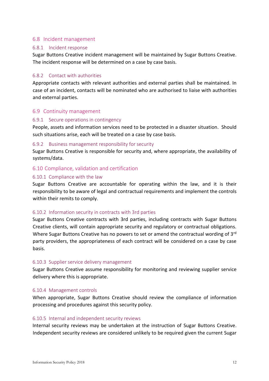#### <span id="page-12-0"></span>6.8 Incident management

#### <span id="page-12-1"></span>6.8.1 Incident response

Sugar Buttons Creative incident management will be maintained by Sugar Buttons Creative. The incident response will be determined on a case by case basis.

#### <span id="page-12-2"></span>6.8.2 Contact with authorities

Appropriate contacts with relevant authorities and external parties shall be maintained. In case of an incident, contacts will be nominated who are authorised to liaise with authorities and external parties.

#### <span id="page-12-3"></span>6.9 Continuity management

#### <span id="page-12-4"></span>6.9.1 Secure operations in contingency

People, assets and information services need to be protected in a disaster situation. Should such situations arise, each will be treated on a case by case basis.

#### <span id="page-12-5"></span>6.9.2 Business management responsibility for security

Sugar Buttons Creative is responsible for security and, where appropriate, the availability of systems/data.

#### <span id="page-12-6"></span>6.10 Compliance, validation and certification

#### <span id="page-12-7"></span>6.10.1 Compliance with the law

Sugar Buttons Creative are accountable for operating within the law, and it is their responsibility to be aware of legal and contractual requirements and implement the controls within their remits to comply.

#### <span id="page-12-8"></span>6.10.2 Information security in contracts with 3rd parties

Sugar Buttons Creative contracts with 3rd parties, including contracts with Sugar Buttons Creative clients, will contain appropriate security and regulatory or contractual obligations. Where Sugar Buttons Creative has no powers to set or amend the contractual wording of 3<sup>rd</sup> party providers, the appropriateness of each contract will be considered on a case by case basis.

#### <span id="page-12-9"></span>6.10.3 Supplier service delivery management

Sugar Buttons Creative assume responsibility for monitoring and reviewing supplier service delivery where this is appropriate.

#### <span id="page-12-10"></span>6.10.4 Management controls

When appropriate, Sugar Buttons Creative should review the compliance of information processing and procedures against this security policy.

#### <span id="page-12-11"></span>6.10.5 Internal and independent security reviews

Internal security reviews may be undertaken at the instruction of Sugar Buttons Creative. Independent security reviews are considered unlikely to be required given the current Sugar